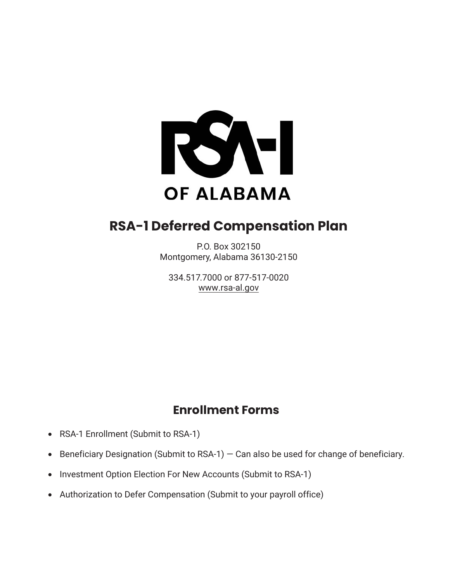

# **RSA-1 Deferred Compensation Plan**

P.O. Box 302150 Montgomery, Alabama 36130-2150

334.517.7000 or 877-517-0020 www.rsa-al.gov

## **Enrollment Forms**

- RSA-1 Enrollment (Submit to RSA-1)
- Beneficiary Designation (Submit to RSA-1)  $-$  Can also be used for change of beneficiary.
- Investment Option Election For New Accounts (Submit to RSA-1)
- Authorization to Defer Compensation (Submit to your payroll office)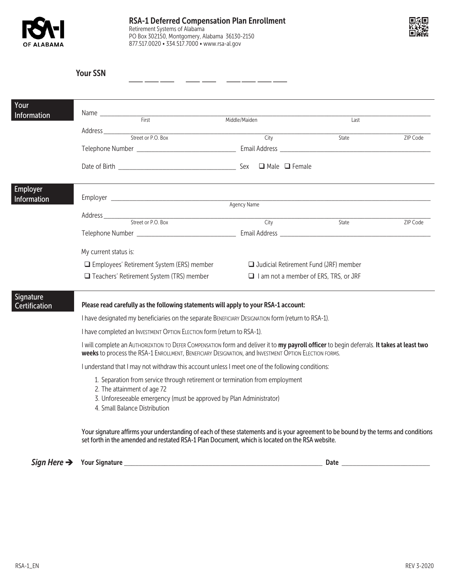



|                                                       | <b>Your SSN</b>                                                                                                                                                                                                                                                                                                                                                                                                                                                                                                                                                                                                                                                                                                                                                                                                                                              |                       |       |          |  |  |  |
|-------------------------------------------------------|--------------------------------------------------------------------------------------------------------------------------------------------------------------------------------------------------------------------------------------------------------------------------------------------------------------------------------------------------------------------------------------------------------------------------------------------------------------------------------------------------------------------------------------------------------------------------------------------------------------------------------------------------------------------------------------------------------------------------------------------------------------------------------------------------------------------------------------------------------------|-----------------------|-------|----------|--|--|--|
| Your<br>Information                                   | Name First                                                                                                                                                                                                                                                                                                                                                                                                                                                                                                                                                                                                                                                                                                                                                                                                                                                   | Middle/Maiden<br>Last |       |          |  |  |  |
|                                                       |                                                                                                                                                                                                                                                                                                                                                                                                                                                                                                                                                                                                                                                                                                                                                                                                                                                              | City                  | State | ZIP Code |  |  |  |
| Employer<br>Information<br>Signature<br>Certification | Address<br>Street or P.O. Box<br>City<br>State<br>ZIP Code                                                                                                                                                                                                                                                                                                                                                                                                                                                                                                                                                                                                                                                                                                                                                                                                   |                       |       |          |  |  |  |
|                                                       | My current status is:<br>□ Employees' Retirement System (ERS) member<br>$\Box$ Judicial Retirement Fund (JRF) member<br>$\Box$ Teachers' Retirement System (TRS) member<br>$\Box$ I am not a member of ERS, TRS, or JRF                                                                                                                                                                                                                                                                                                                                                                                                                                                                                                                                                                                                                                      |                       |       |          |  |  |  |
|                                                       | Please read carefully as the following statements will apply to your RSA-1 account:<br>I have designated my beneficiaries on the separate BENEFICIARY DESIGNATION form (return to RSA-1).<br>I have completed an INVESTMENT OPTION ELECTION form (return to RSA-1).<br>I will complete an AUTHORIZATION TO DEFER COMPENSATION form and deliver it to my payroll officer to begin deferrals. It takes at least two<br><b>weeks</b> to process the RSA-1 ENROLLMENT, BENEFICIARY DESIGNATION, and INVESTMENT OPTION ELECTION FORMS.<br>I understand that I may not withdraw this account unless I meet one of the following conditions:<br>1. Separation from service through retirement or termination from employment<br>2. The attainment of age 72<br>3. Unforeseeable emergency (must be approved by Plan Administrator)<br>4. Small Balance Distribution |                       |       |          |  |  |  |
|                                                       | Your signature affirms your understanding of each of these statements and is your agreement to be bound by the terms and conditions<br>set forth in the amended and restated RSA-1 Plan Document, which is located on the RSA website.                                                                                                                                                                                                                                                                                                                                                                                                                                                                                                                                                                                                                       |                       |       |          |  |  |  |

 $\textit{Sign Here} \ \ \rightarrow \quad \ \ \ \text{Your Signature} \ \ \_\_\_ \ \ \_\_$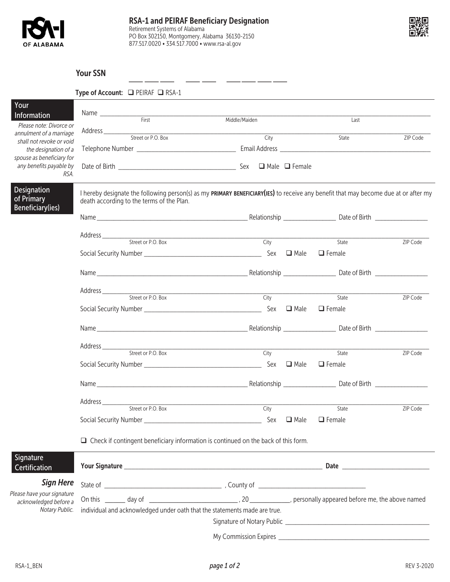



### Your SSN

|                                                              | Type of Account: □ PEIRAF □ RSA-1                                                         |                                                                                                                                                                                                                                |                              |          |  |  |  |
|--------------------------------------------------------------|-------------------------------------------------------------------------------------------|--------------------------------------------------------------------------------------------------------------------------------------------------------------------------------------------------------------------------------|------------------------------|----------|--|--|--|
| Your                                                         |                                                                                           |                                                                                                                                                                                                                                |                              |          |  |  |  |
| Information<br>Please note: Divorce or                       | Middle/Maiden<br>Last                                                                     |                                                                                                                                                                                                                                |                              |          |  |  |  |
| annulment of a marriage                                      | Address <u>Street or P.O. Box</u>                                                         | City                                                                                                                                                                                                                           | State                        | ZIP Code |  |  |  |
| shall not revoke or void<br>the designation of a             |                                                                                           |                                                                                                                                                                                                                                |                              |          |  |  |  |
| spouse as beneficiary for<br>any benefits payable by<br>RSA. |                                                                                           |                                                                                                                                                                                                                                |                              |          |  |  |  |
| <b>Designation</b><br>of Primary<br>Beneficiary(ies)         | death according to the terms of the Plan.                                                 | I hereby designate the following person(s) as my PRIMARY BENEFICIARY(IES) to receive any benefit that may become due at or after my                                                                                            |                              |          |  |  |  |
|                                                              |                                                                                           |                                                                                                                                                                                                                                |                              |          |  |  |  |
|                                                              |                                                                                           |                                                                                                                                                                                                                                |                              |          |  |  |  |
|                                                              |                                                                                           |                                                                                                                                                                                                                                | State                        | ZIP Code |  |  |  |
|                                                              |                                                                                           |                                                                                                                                                                                                                                | $\Box$ Female                |          |  |  |  |
|                                                              |                                                                                           | Name Date of Birth Changes and Changes and Changes and Changes and Changes and Changes and Changes and Changes and Changes and Changes and Changes and Changes and Changes and Changes and Changes and Changes and Changes and |                              |          |  |  |  |
|                                                              | Street or P.O. Box                                                                        | City                                                                                                                                                                                                                           | State                        | ZIP Code |  |  |  |
|                                                              |                                                                                           |                                                                                                                                                                                                                                | $\Box$ Female                |          |  |  |  |
|                                                              |                                                                                           |                                                                                                                                                                                                                                |                              |          |  |  |  |
|                                                              | Address <u>Street</u> or P.O. Box                                                         |                                                                                                                                                                                                                                |                              |          |  |  |  |
|                                                              |                                                                                           | City                                                                                                                                                                                                                           | State                        | ZIP Code |  |  |  |
|                                                              |                                                                                           |                                                                                                                                                                                                                                | $\Box$ Female                |          |  |  |  |
|                                                              |                                                                                           |                                                                                                                                                                                                                                |                              |          |  |  |  |
|                                                              |                                                                                           |                                                                                                                                                                                                                                |                              |          |  |  |  |
|                                                              |                                                                                           | City                                                                                                                                                                                                                           | State                        | ZIP Code |  |  |  |
|                                                              |                                                                                           | Sex                                                                                                                                                                                                                            | $\Box$ Male<br>$\Box$ Female |          |  |  |  |
|                                                              | $\Box$ Check if contingent beneficiary information is continued on the back of this form. |                                                                                                                                                                                                                                |                              |          |  |  |  |
| Signature<br>Certification                                   |                                                                                           |                                                                                                                                                                                                                                |                              |          |  |  |  |
| <b>Sign Here</b>                                             |                                                                                           |                                                                                                                                                                                                                                |                              |          |  |  |  |
| Please have your signature<br>acknowledged before a          |                                                                                           |                                                                                                                                                                                                                                |                              |          |  |  |  |
| Notary Public.                                               | individual and acknowledged under oath that the statements made are true.                 |                                                                                                                                                                                                                                |                              |          |  |  |  |
|                                                              |                                                                                           |                                                                                                                                                                                                                                |                              |          |  |  |  |
|                                                              |                                                                                           |                                                                                                                                                                                                                                |                              |          |  |  |  |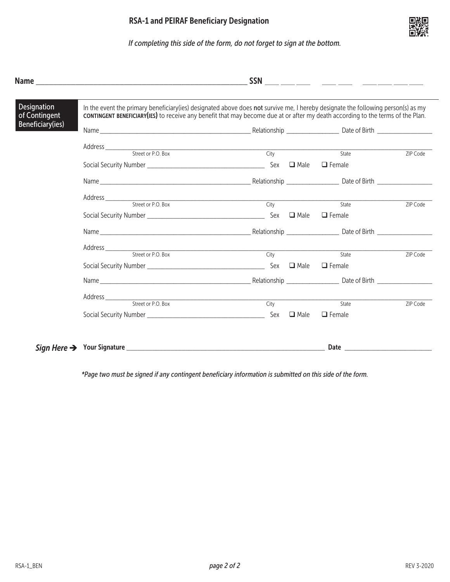

|                              | <b>RSA-1 and PEIRAF Beneficiary Designation</b><br>If completing this side of the form, do not forget to sign at the bottom.                                                                                                                                        |                                                                                                                                                                                                                                                                                                                                                                                                                      |  |                        |            |  |  |
|------------------------------|---------------------------------------------------------------------------------------------------------------------------------------------------------------------------------------------------------------------------------------------------------------------|----------------------------------------------------------------------------------------------------------------------------------------------------------------------------------------------------------------------------------------------------------------------------------------------------------------------------------------------------------------------------------------------------------------------|--|------------------------|------------|--|--|
|                              |                                                                                                                                                                                                                                                                     |                                                                                                                                                                                                                                                                                                                                                                                                                      |  |                        |            |  |  |
| Designation<br>of Contingent | In the event the primary beneficiary(ies) designated above does not survive me, I hereby designate the following person(s) as my<br>cONTINGENT BENEFICIARY(IES) to receive any benefit that may become due at or after my death according to the terms of the Plan. |                                                                                                                                                                                                                                                                                                                                                                                                                      |  |                        |            |  |  |
| <b>Beneficiary(ies)</b>      |                                                                                                                                                                                                                                                                     |                                                                                                                                                                                                                                                                                                                                                                                                                      |  |                        |            |  |  |
|                              | Address <u>City Street or P.O. Box</u>                                                                                                                                                                                                                              |                                                                                                                                                                                                                                                                                                                                                                                                                      |  |                        |            |  |  |
|                              |                                                                                                                                                                                                                                                                     |                                                                                                                                                                                                                                                                                                                                                                                                                      |  | State                  | ZIP Code   |  |  |
|                              |                                                                                                                                                                                                                                                                     |                                                                                                                                                                                                                                                                                                                                                                                                                      |  |                        |            |  |  |
|                              |                                                                                                                                                                                                                                                                     |                                                                                                                                                                                                                                                                                                                                                                                                                      |  |                        |            |  |  |
|                              |                                                                                                                                                                                                                                                                     | $\frac{1}{\sqrt{1-\frac{1}{2}}\sqrt{1-\frac{1}{2}}\sqrt{1-\frac{1}{2}}\sqrt{1-\frac{1}{2}}\sqrt{1-\frac{1}{2}}\sqrt{1-\frac{1}{2}}\sqrt{1-\frac{1}{2}}\sqrt{1-\frac{1}{2}}\sqrt{1-\frac{1}{2}}\sqrt{1-\frac{1}{2}}\sqrt{1-\frac{1}{2}}\sqrt{1-\frac{1}{2}}\sqrt{1-\frac{1}{2}}\sqrt{1-\frac{1}{2}}\sqrt{1-\frac{1}{2}}\sqrt{1-\frac{1}{2}}\sqrt{1-\frac{1}{2}}\sqrt{1-\frac{1}{2}}\sqrt{1-\frac{1}{2}}\sqrt{1-\frac$ |  | State                  | ZIP Code   |  |  |
|                              |                                                                                                                                                                                                                                                                     |                                                                                                                                                                                                                                                                                                                                                                                                                      |  |                        |            |  |  |
|                              |                                                                                                                                                                                                                                                                     |                                                                                                                                                                                                                                                                                                                                                                                                                      |  |                        |            |  |  |
|                              |                                                                                                                                                                                                                                                                     |                                                                                                                                                                                                                                                                                                                                                                                                                      |  |                        |            |  |  |
|                              |                                                                                                                                                                                                                                                                     |                                                                                                                                                                                                                                                                                                                                                                                                                      |  | State<br>$\Box$ Female | ZIP Code   |  |  |
|                              |                                                                                                                                                                                                                                                                     |                                                                                                                                                                                                                                                                                                                                                                                                                      |  |                        |            |  |  |
|                              |                                                                                                                                                                                                                                                                     |                                                                                                                                                                                                                                                                                                                                                                                                                      |  |                        |            |  |  |
|                              |                                                                                                                                                                                                                                                                     |                                                                                                                                                                                                                                                                                                                                                                                                                      |  | State                  | ZIP Code   |  |  |
|                              |                                                                                                                                                                                                                                                                     |                                                                                                                                                                                                                                                                                                                                                                                                                      |  |                        |            |  |  |
|                              |                                                                                                                                                                                                                                                                     |                                                                                                                                                                                                                                                                                                                                                                                                                      |  |                        |            |  |  |
|                              | *Page two must be signed if any contingent beneficiary information is submitted on this side of the form.                                                                                                                                                           |                                                                                                                                                                                                                                                                                                                                                                                                                      |  |                        |            |  |  |
|                              |                                                                                                                                                                                                                                                                     |                                                                                                                                                                                                                                                                                                                                                                                                                      |  |                        |            |  |  |
|                              |                                                                                                                                                                                                                                                                     |                                                                                                                                                                                                                                                                                                                                                                                                                      |  |                        |            |  |  |
|                              |                                                                                                                                                                                                                                                                     |                                                                                                                                                                                                                                                                                                                                                                                                                      |  |                        |            |  |  |
|                              |                                                                                                                                                                                                                                                                     |                                                                                                                                                                                                                                                                                                                                                                                                                      |  |                        |            |  |  |
|                              |                                                                                                                                                                                                                                                                     |                                                                                                                                                                                                                                                                                                                                                                                                                      |  |                        |            |  |  |
|                              |                                                                                                                                                                                                                                                                     |                                                                                                                                                                                                                                                                                                                                                                                                                      |  |                        |            |  |  |
|                              |                                                                                                                                                                                                                                                                     |                                                                                                                                                                                                                                                                                                                                                                                                                      |  |                        |            |  |  |
|                              |                                                                                                                                                                                                                                                                     |                                                                                                                                                                                                                                                                                                                                                                                                                      |  |                        |            |  |  |
|                              |                                                                                                                                                                                                                                                                     |                                                                                                                                                                                                                                                                                                                                                                                                                      |  |                        |            |  |  |
|                              |                                                                                                                                                                                                                                                                     |                                                                                                                                                                                                                                                                                                                                                                                                                      |  |                        |            |  |  |
| RSA-1_BEN                    |                                                                                                                                                                                                                                                                     | page 2 of 2                                                                                                                                                                                                                                                                                                                                                                                                          |  |                        | REV 3-2020 |  |  |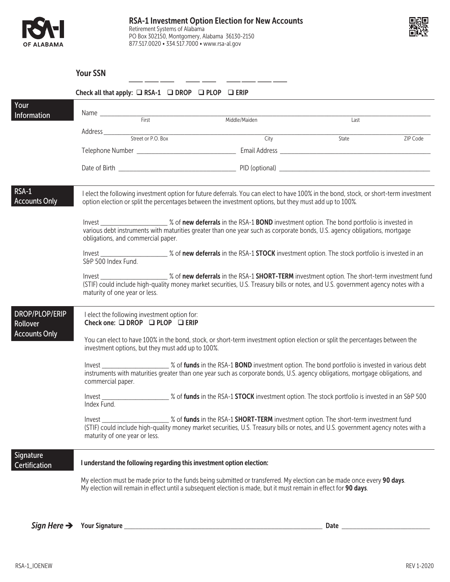



|                                   | <b>Your SSN</b>                                                                                                                                                                                                                                                                       |  |               |       |          |  |
|-----------------------------------|---------------------------------------------------------------------------------------------------------------------------------------------------------------------------------------------------------------------------------------------------------------------------------------|--|---------------|-------|----------|--|
|                                   | Check all that apply: $\Box$ RSA-1 $\Box$ DROP $\Box$ PLOP $\Box$ ERIP                                                                                                                                                                                                                |  |               |       |          |  |
| Your<br>Information               |                                                                                                                                                                                                                                                                                       |  | Middle/Maiden | Last  |          |  |
|                                   |                                                                                                                                                                                                                                                                                       |  | City          | State | ZIP Code |  |
|                                   |                                                                                                                                                                                                                                                                                       |  |               |       |          |  |
|                                   |                                                                                                                                                                                                                                                                                       |  |               |       |          |  |
| RSA-1<br><b>Accounts Only</b>     | I elect the following investment option for future deferrals. You can elect to have 100% in the bond, stock, or short-term investment<br>option election or split the percentages between the investment options, but they must add up to 100%.                                       |  |               |       |          |  |
|                                   | various debt instruments with maturities greater than one year such as corporate bonds, U.S. agency obligations, mortgage<br>obligations, and commercial paper.                                                                                                                       |  |               |       |          |  |
|                                   | S&P 500 Index Fund.                                                                                                                                                                                                                                                                   |  |               |       |          |  |
|                                   | (STIF) could include high-quality money market securities, U.S. Treasury bills or notes, and U.S. government agency notes with a<br>maturity of one year or less.                                                                                                                     |  |               |       |          |  |
| <b>DROP/PLOP/ERIP</b><br>Rollover | I elect the following investment option for:<br>Check one: $\Box$ DROP $\Box$ PLOP $\Box$ ERIP                                                                                                                                                                                        |  |               |       |          |  |
| <b>Accounts Only</b>              | You can elect to have 100% in the bond, stock, or short-term investment option election or split the percentages between the<br>investment options, but they must add up to 100%.                                                                                                     |  |               |       |          |  |
|                                   | Invest _________________________ % of funds in the RSA-1 BOND investment option. The bond portfolio is invested in various debt<br>instruments with maturities greater than one year such as corporate bonds, U.S. agency obligations, mortgage obligations, and<br>commercial paper. |  |               |       |          |  |
|                                   | % of funds in the RSA-1 STOCK investment option. The stock portfolio is invested in an S&P 500<br>Invest_<br>Index Fund.                                                                                                                                                              |  |               |       |          |  |
|                                   | % of funds in the RSA-1 SHORT-TERM investment option. The short-term investment fund<br>Invest<br>(STIF) could include high-quality money market securities, U.S. Treasury bills or notes, and U.S. government agency notes with a<br>maturity of one year or less.                   |  |               |       |          |  |
| Signature<br>Certification        | I understand the following regarding this investment option election:                                                                                                                                                                                                                 |  |               |       |          |  |
|                                   | My election must be made prior to the funds being submitted or transferred. My election can be made once every 90 days.<br>My election will remain in effect until a subsequent election is made, but it must remain in effect for 90 days.                                           |  |               |       |          |  |

*Sign Here* <sup>è</sup> Your Signature \_\_\_\_\_\_\_\_\_\_\_\_\_\_\_\_\_\_\_\_\_\_\_\_\_\_\_\_\_\_\_\_\_\_\_\_\_\_\_\_\_\_\_\_\_\_\_\_\_\_\_\_\_\_ Date \_\_\_\_\_\_\_\_\_\_\_\_\_\_\_\_\_\_\_\_\_\_\_\_